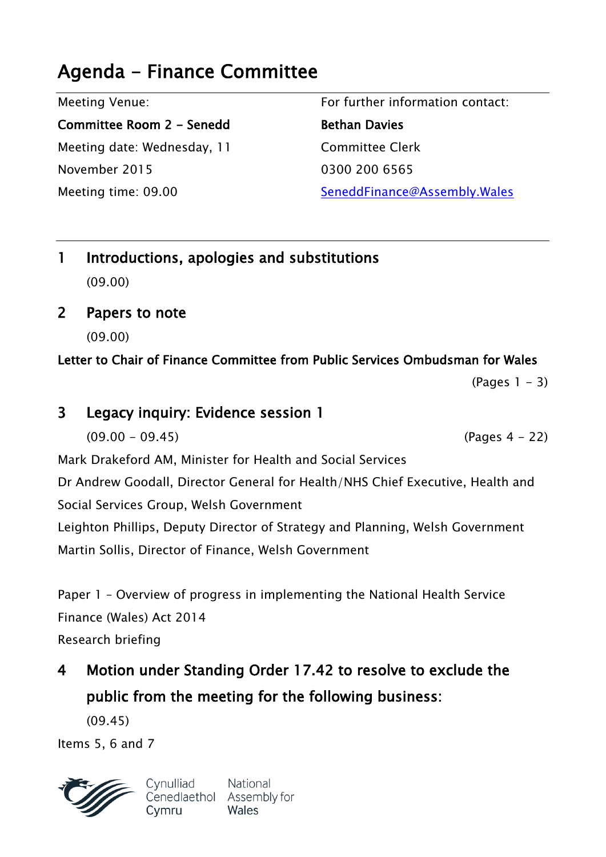# **Agenda - Finance Committee**

Meeting Venue:

**Committee Room 2 - Senedd** Meeting date: Wednesday, 11 November 2015 Meeting time: 09.00

For further information contact: **Bethan Davies** Committee Clerk 0300 200 6565 SeneddFinance@Assembly.Wales

- **1 Introductions, apologies and substitutions** (09.00)
- **2 Papers to note**

(09.00)

### **Letter to Chair of Finance Committee from Public Services Ombudsman for Wales**

 $(Pages 1 - 3)$ 

# **3 Legacy inquiry: Evidence session 1**

 $(09.00 - 09.45)$  (Pages 4 - 22)

Mark Drakeford AM, Minister for Health and Social Services

Dr Andrew Goodall, Director General for Health/NHS Chief Executive, Health and Social Services Group, Welsh Government

Leighton Phillips, Deputy Director of Strategy and Planning, Welsh Government Martin Sollis, Director of Finance, Welsh Government

Paper 1 – Overview of progress in implementing the National Health Service Finance (Wales) Act 2014 Research briefing

**4 Motion under Standing Order 17.42 to resolve to exclude the public from the meeting for the following business:**

(09.45)

Items 5, 6 and 7